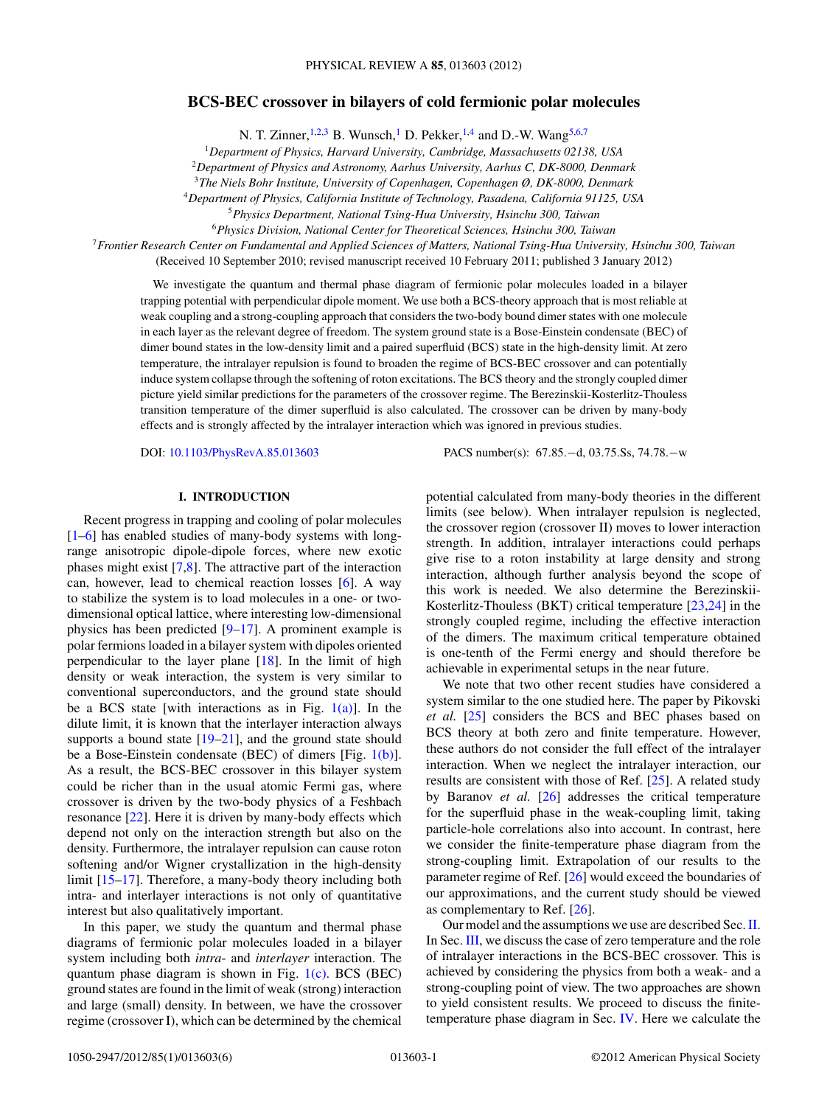# **BCS-BEC crossover in bilayers of cold fermionic polar molecules**

N. T. Zinner,  $1,2,3$  B. Wunsch,<sup>1</sup> D. Pekker,  $1,4$  and D.-W. Wang<sup>5,6,7</sup>

<sup>1</sup>*Department of Physics, Harvard University, Cambridge, Massachusetts 02138, USA*

<sup>2</sup>*Department of Physics and Astronomy, Aarhus University, Aarhus C, DK-8000, Denmark*

<sup>3</sup>*The Niels Bohr Institute, University of Copenhagen, Copenhagen Ø, DK-8000, Denmark*

<sup>4</sup>*Department of Physics, California Institute of Technology, Pasadena, California 91125, USA*

<sup>5</sup>*Physics Department, National Tsing-Hua University, Hsinchu 300, Taiwan*

<sup>6</sup>*Physics Division, National Center for Theoretical Sciences, Hsinchu 300, Taiwan*

<sup>7</sup>*Frontier Research Center on Fundamental and Applied Sciences of Matters, National Tsing-Hua University, Hsinchu 300, Taiwan*

(Received 10 September 2010; revised manuscript received 10 February 2011; published 3 January 2012)

We investigate the quantum and thermal phase diagram of fermionic polar molecules loaded in a bilayer trapping potential with perpendicular dipole moment. We use both a BCS-theory approach that is most reliable at weak coupling and a strong-coupling approach that considers the two-body bound dimer states with one molecule in each layer as the relevant degree of freedom. The system ground state is a Bose-Einstein condensate (BEC) of dimer bound states in the low-density limit and a paired superfluid (BCS) state in the high-density limit. At zero temperature, the intralayer repulsion is found to broaden the regime of BCS-BEC crossover and can potentially induce system collapse through the softening of roton excitations. The BCS theory and the strongly coupled dimer picture yield similar predictions for the parameters of the crossover regime. The Berezinskii-Kosterlitz-Thouless transition temperature of the dimer superfluid is also calculated. The crossover can be driven by many-body effects and is strongly affected by the intralayer interaction which was ignored in previous studies.

DOI: [10.1103/PhysRevA.85.013603](http://dx.doi.org/10.1103/PhysRevA.85.013603) PACS number(s): 67*.*85*.*−d, 03*.*75*.*Ss, 74*.*78*.*−w

## **I. INTRODUCTION**

Recent progress in trapping and cooling of polar molecules [\[1–6\]](#page-4-0) has enabled studies of many-body systems with longrange anisotropic dipole-dipole forces, where new exotic phases might exist [\[7,8\]](#page-4-0). The attractive part of the interaction can, however, lead to chemical reaction losses [\[6\]](#page-4-0). A way to stabilize the system is to load molecules in a one- or twodimensional optical lattice, where interesting low-dimensional physics has been predicted [\[9–17\]](#page-4-0). A prominent example is polar fermions loaded in a bilayer system with dipoles oriented perpendicular to the layer plane [\[18\]](#page-4-0). In the limit of high density or weak interaction, the system is very similar to conventional superconductors, and the ground state should be a BCS state [with interactions as in Fig.  $1(a)$ ]. In the dilute limit, it is known that the interlayer interaction always supports a bound state [\[19–21\]](#page-4-0), and the ground state should be a Bose-Einstein condensate (BEC) of dimers [Fig. [1\(b\)\]](#page-1-0). As a result, the BCS-BEC crossover in this bilayer system could be richer than in the usual atomic Fermi gas, where crossover is driven by the two-body physics of a Feshbach resonance [\[22\]](#page-4-0). Here it is driven by many-body effects which depend not only on the interaction strength but also on the density. Furthermore, the intralayer repulsion can cause roton softening and/or Wigner crystallization in the high-density limit [\[15–17\]](#page-4-0). Therefore, a many-body theory including both intra- and interlayer interactions is not only of quantitative interest but also qualitatively important.

In this paper, we study the quantum and thermal phase diagrams of fermionic polar molecules loaded in a bilayer system including both *intra*- and *interlayer* interaction. The quantum phase diagram is shown in Fig.  $1(c)$ . BCS (BEC) ground states are found in the limit of weak (strong) interaction and large (small) density. In between, we have the crossover regime (crossover I), which can be determined by the chemical potential calculated from many-body theories in the different limits (see below). When intralayer repulsion is neglected, the crossover region (crossover II) moves to lower interaction strength. In addition, intralayer interactions could perhaps give rise to a roton instability at large density and strong interaction, although further analysis beyond the scope of this work is needed. We also determine the Berezinskii-Kosterlitz-Thouless (BKT) critical temperature [\[23,24\]](#page-4-0) in the strongly coupled regime, including the effective interaction of the dimers. The maximum critical temperature obtained is one-tenth of the Fermi energy and should therefore be achievable in experimental setups in the near future.

We note that two other recent studies have considered a system similar to the one studied here. The paper by Pikovski *et al.* [\[25\]](#page-4-0) considers the BCS and BEC phases based on BCS theory at both zero and finite temperature. However, these authors do not consider the full effect of the intralayer interaction. When we neglect the intralayer interaction, our results are consistent with those of Ref. [\[25\]](#page-4-0). A related study by Baranov *et al.* [\[26\]](#page-4-0) addresses the critical temperature for the superfluid phase in the weak-coupling limit, taking particle-hole correlations also into account. In contrast, here we consider the finite-temperature phase diagram from the strong-coupling limit. Extrapolation of our results to the parameter regime of Ref. [\[26\]](#page-4-0) would exceed the boundaries of our approximations, and the current study should be viewed as complementary to Ref. [\[26\]](#page-4-0).

Our model and the assumptions we use are described Sec.[II.](#page-1-0) In Sec. [III,](#page-2-0) we discuss the case of zero temperature and the role of intralayer interactions in the BCS-BEC crossover. This is achieved by considering the physics from both a weak- and a strong-coupling point of view. The two approaches are shown to yield consistent results. We proceed to discuss the finitetemperature phase diagram in Sec. [IV.](#page-3-0) Here we calculate the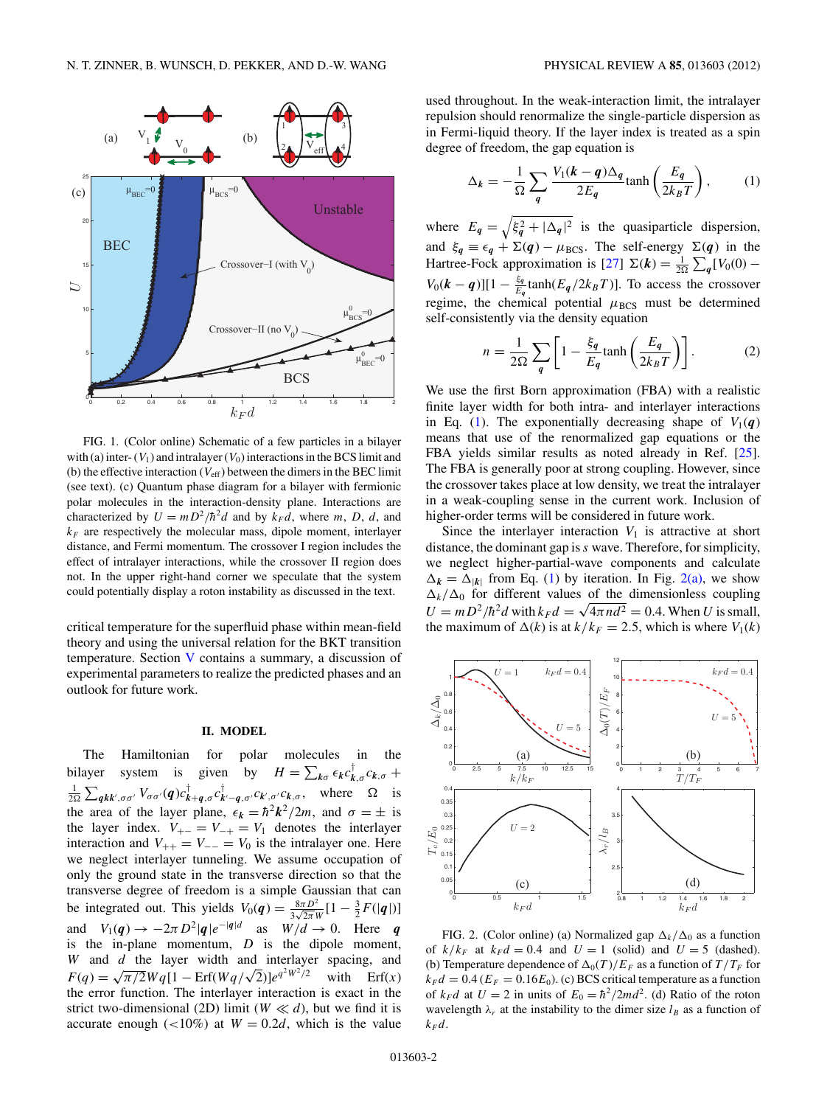<span id="page-1-0"></span>

FIG. 1. (Color online) Schematic of a few particles in a bilayer with (a) inter- $(V_1)$  and intralayer  $(V_0)$  interactions in the BCS limit and (b) the effective interaction  $(V_{\text{eff}})$  between the dimers in the BEC limit (see text). (c) Quantum phase diagram for a bilayer with fermionic polar molecules in the interaction-density plane. Interactions are characterized by  $U = mD^2/\hbar^2 d$  and by  $k_F d$ , where *m*, *D*, *d*, and  $k_F$  are respectively the molecular mass, dipole moment, interlayer distance, and Fermi momentum. The crossover I region includes the effect of intralayer interactions, while the crossover II region does not. In the upper right-hand corner we speculate that the system could potentially display a roton instability as discussed in the text.

critical temperature for the superfluid phase within mean-field theory and using the universal relation for the BKT transition temperature. Section [V](#page-3-0) contains a summary, a discussion of experimental parameters to realize the predicted phases and an outlook for future work.

#### **II. MODEL**

The Hamiltonian for polar molecules in the bilayer system is given by  $H = \sum_{k\sigma} \epsilon_k c_{k,\sigma}^{\dagger} c_{k,\sigma} +$  $\frac{1}{2\Omega} \sum_{q \kappa k', \sigma \sigma'} V_{\sigma \sigma'}(q) c^{\dagger}_{k+q, \sigma} c^{\dagger}_{k'-q, \sigma'} c_{k', \sigma'} c_{k, \sigma}, \text{ where } \Omega \text{ is }$ the area of the layer plane,  $\epsilon_k = \hbar^2 k^2 / 2m$ , and  $\sigma = \pm$  is the layer index.  $V_{+-} = V_{-+} = V_1$  denotes the interlayer interaction and  $V_{++} = V_{--} = V_0$  is the intralayer one. Here we neglect interlayer tunneling. We assume occupation of only the ground state in the transverse direction so that the transverse degree of freedom is a simple Gaussian that can be integrated out. This yields  $V_0(q) = \frac{8\pi D^2}{3\sqrt{2\pi}W} [1 - \frac{3}{2}F(|q|)]$ and  $V_1(q) \rightarrow -2\pi D^2|q|e^{-|q|d}$  as  $W/d \rightarrow 0$ . Here *q* is the in-plane momentum, *D* is the dipole moment, *W* and *d* the layer width and interlayer spacing, and  $F(q) = \sqrt{\pi/2}Wq[1 - \text{Erf}(Wq/\sqrt{2})]e^{q^2W^2/2}$  with Erf(*x*) the error function. The interlayer interaction is exact in the strict two-dimensional (2D) limit ( $W \ll d$ ), but we find it is accurate enough  $\left($  < 10%) at  $W = 0.2d$ , which is the value

used throughout. In the weak-interaction limit, the intralayer repulsion should renormalize the single-particle dispersion as in Fermi-liquid theory. If the layer index is treated as a spin degree of freedom, the gap equation is

$$
\Delta_k = -\frac{1}{\Omega} \sum_{q} \frac{V_1(k-q)\Delta_q}{2E_q} \tanh\left(\frac{E_q}{2k_B T}\right),\tag{1}
$$

where  $E_q = \sqrt{\xi_q^2 + |\Delta_q|^2}$  is the quasiparticle dispersion, and  $\xi_q \equiv \epsilon_q + \Sigma(q) - \mu_{BCS}$ . The self-energy  $\Sigma(q)$  in the Hartree-Fock approximation is [\[27\]](#page-4-0)  $\Sigma(k) = \frac{1}{2\Omega} \sum_{q} [V_0(0) V_0(k - q)[1 - \frac{\xi_q}{E_q}$  tanh( $E_q/2k_BT$ )]. To access the crossover regime, the chemical potential  $\mu_{BCS}$  must be determined self-consistently via the density equation

$$
n = \frac{1}{2\Omega} \sum_{q} \left[ 1 - \frac{\xi_q}{E_q} \tanh\left(\frac{E_q}{2k_B T}\right) \right].
$$
 (2)

We use the first Born approximation (FBA) with a realistic finite layer width for both intra- and interlayer interactions in Eq. (1). The exponentially decreasing shape of  $V_1(q)$ means that use of the renormalized gap equations or the FBA yields similar results as noted already in Ref. [\[25\]](#page-4-0). The FBA is generally poor at strong coupling. However, since the crossover takes place at low density, we treat the intralayer in a weak-coupling sense in the current work. Inclusion of higher-order terms will be considered in future work.

Since the interlayer interaction  $V_1$  is attractive at short distance, the dominant gap is*s* wave. Therefore, for simplicity, we neglect higher-partial-wave components and calculate  $\Delta_k = \Delta_{|k|}$  from Eq. (1) by iteration. In Fig. 2(a), we show  $\Delta_k/\Delta_0$  for different values of the dimensionless coupling  $U = mD^2/\hbar^2 d$  with  $k_F d = \sqrt{4\pi n d^2} = 0.4$ . When *U* is small, the maximum of  $\Delta(k)$  is at  $k/k_F = 2.5$ , which is where  $V_1(k)$ 



FIG. 2. (Color online) (a) Normalized gap  $\Delta_k/\Delta_0$  as a function of  $k/k_F$  at  $k_F d = 0.4$  and  $U = 1$  (solid) and  $U = 5$  (dashed). (b) Temperature dependence of  $\Delta_0(T)/E_F$  as a function of  $T/T_F$  for  $k_F d = 0.4$  ( $E_F = 0.16E_0$ ). (c) BCS critical temperature as a function of  $k_F d$  at  $U = 2$  in units of  $E_0 = \frac{\hbar^2}{2md^2}$ . (d) Ratio of the roton wavelength  $\lambda_r$  at the instability to the dimer size  $l_B$  as a function of  $k_F d$ .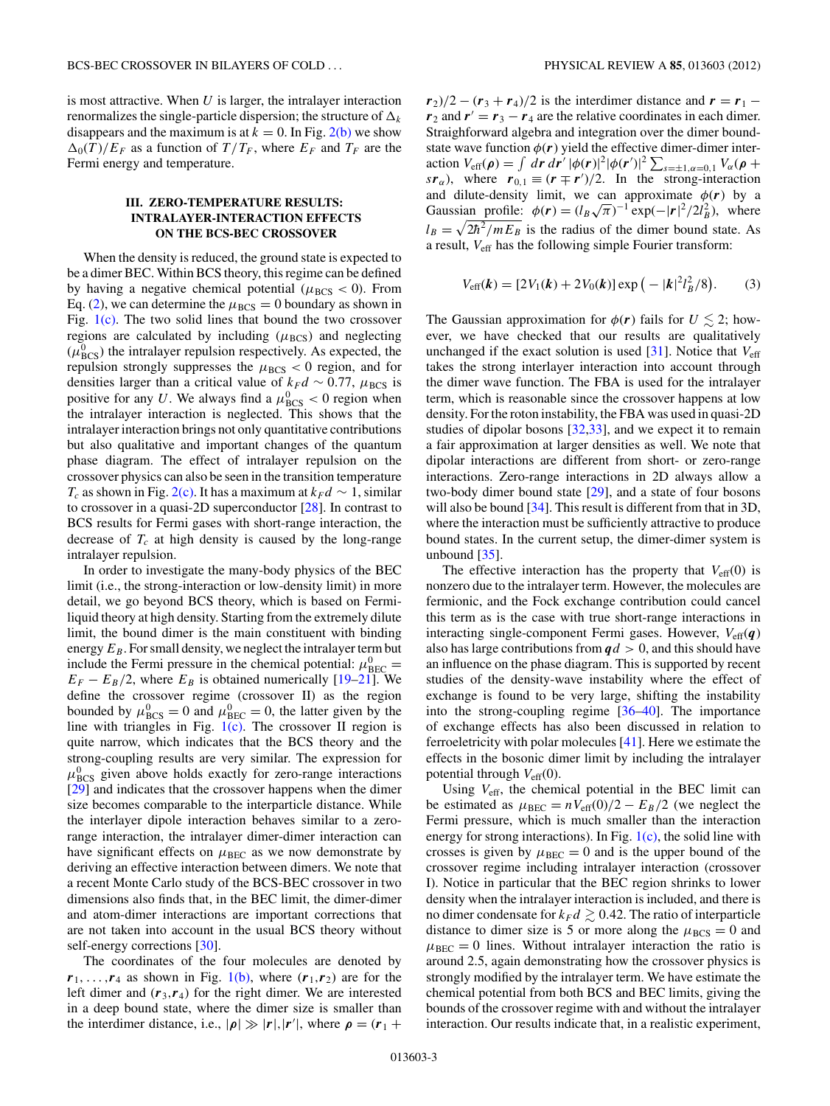<span id="page-2-0"></span>is most attractive. When *U* is larger, the intralayer interaction renormalizes the single-particle dispersion; the structure of  $\Delta_k$ disappears and the maximum is at  $k = 0$ . In Fig. [2\(b\)](#page-1-0) we show  $\Delta_0(T)/E_F$  as a function of  $T/T_F$ , where  $E_F$  and  $T_F$  are the Fermi energy and temperature.

### **III. ZERO-TEMPERATURE RESULTS: INTRALAYER-INTERACTION EFFECTS ON THE BCS-BEC CROSSOVER**

When the density is reduced, the ground state is expected to be a dimer BEC. Within BCS theory, this regime can be defined by having a negative chemical potential ( $\mu_{BCS} < 0$ ). From Eq. [\(2\)](#page-1-0), we can determine the  $\mu_{BCS} = 0$  boundary as shown in Fig. [1\(c\).](#page-1-0) The two solid lines that bound the two crossover regions are calculated by including  $(\mu_{BCS})$  and neglecting  $(\mu_{BCS}^0)$  the intralayer repulsion respectively. As expected, the repulsion strongly suppresses the  $\mu_{BCS} < 0$  region, and for densities larger than a critical value of  $k_F d \sim 0.77$ ,  $\mu_{BCS}$  is positive for any *U*. We always find a  $\mu_{BCS}^0 < 0$  region when the intralayer interaction is neglected. This shows that the intralayer interaction brings not only quantitative contributions but also qualitative and important changes of the quantum phase diagram. The effect of intralayer repulsion on the crossover physics can also be seen in the transition temperature *T<sub>c</sub>* as shown in Fig. [2\(c\).](#page-1-0) It has a maximum at  $k_F d \sim 1$ , similar to crossover in a quasi-2D superconductor [\[28\]](#page-4-0). In contrast to BCS results for Fermi gases with short-range interaction, the decrease of  $T_c$  at high density is caused by the long-range intralayer repulsion.

In order to investigate the many-body physics of the BEC limit (i.e., the strong-interaction or low-density limit) in more detail, we go beyond BCS theory, which is based on Fermiliquid theory at high density. Starting from the extremely dilute limit, the bound dimer is the main constituent with binding energy  $E_B$ . For small density, we neglect the intralayer term but include the Fermi pressure in the chemical potential:  $\mu_{\text{BEC}}^0$  $E_F - E_B/2$ , where  $E_B$  is obtained numerically [\[19–21\]](#page-4-0). We define the crossover regime (crossover II) as the region bounded by  $\mu_{BCS}^0 = 0$  and  $\mu_{BEC}^0 = 0$ , the latter given by the line with triangles in Fig.  $1(c)$ . The crossover II region is quite narrow, which indicates that the BCS theory and the strong-coupling results are very similar. The expression for  $\mu_{\text{BCS}}^0$  given above holds exactly for zero-range interactions [\[29\]](#page-4-0) and indicates that the crossover happens when the dimer size becomes comparable to the interparticle distance. While the interlayer dipole interaction behaves similar to a zerorange interaction, the intralayer dimer-dimer interaction can have significant effects on  $\mu_{BEC}$  as we now demonstrate by deriving an effective interaction between dimers. We note that a recent Monte Carlo study of the BCS-BEC crossover in two dimensions also finds that, in the BEC limit, the dimer-dimer and atom-dimer interactions are important corrections that are not taken into account in the usual BCS theory without self-energy corrections [\[30\]](#page-4-0).

The coordinates of the four molecules are denoted by  $r_1, \ldots, r_4$  as shown in Fig. [1\(b\),](#page-1-0) where  $(r_1, r_2)$  are for the left dimer and  $(r_3, r_4)$  for the right dimer. We are interested in a deep bound state, where the dimer size is smaller than the interdimer distance, i.e.,  $|\rho| \gg |r|, |r'|$ , where  $\rho = (r_1 + r_2)$ 

 $r_2$ )/2 −  $(r_3 + r_4)$ /2 is the interdimer distance and  $r = r_1$  − *r*<sub>2</sub> and  $r' = r_3 - r_4$  are the relative coordinates in each dimer. Straighforward algebra and integration over the dimer boundstate wave function  $\phi(r)$  yield the effective dimer-dimer interaction  $V_{\text{eff}}(\rho) = \int dr dr' |\phi(r)|^2 |\phi(r')|^2 \sum_{s=\pm 1, \alpha=0,1} V_{\alpha}(\rho +$ *sr*<sub>α</sub>), where  $r_{0,1} \equiv (r \mp r')/2$ . In the strong-interaction and dilute-density limit, we can approximate  $\phi(r)$  by a Gaussian profile:  $\phi(\mathbf{r}) = (l_B \sqrt{\pi})^{-1} \exp(-|\mathbf{r}|^2/2l_B^2)$ , where  $l_B = \sqrt{2\hbar^2/mE_B}$  is the radius of the dimer bound state. As a result, *V*eff has the following simple Fourier transform:

$$
V_{\text{eff}}(\mathbf{k}) = [2V_1(\mathbf{k}) + 2V_0(\mathbf{k})] \exp(-|\mathbf{k}|^2 l_B^2/8). \tag{3}
$$

The Gaussian approximation for  $\phi(r)$  fails for  $U \lesssim 2$ ; however, we have checked that our results are qualitatively unchanged if the exact solution is used [\[31\]](#page-4-0). Notice that *V*eff takes the strong interlayer interaction into account through the dimer wave function. The FBA is used for the intralayer term, which is reasonable since the crossover happens at low density. For the roton instability, the FBA was used in quasi-2D studies of dipolar bosons [\[32,33\]](#page-4-0), and we expect it to remain a fair approximation at larger densities as well. We note that dipolar interactions are different from short- or zero-range interactions. Zero-range interactions in 2D always allow a two-body dimer bound state  $[29]$ , and a state of four bosons will also be bound [\[34\]](#page-4-0). This result is different from that in 3D, where the interaction must be sufficiently attractive to produce bound states. In the current setup, the dimer-dimer system is unbound [\[35\]](#page-4-0).

The effective interaction has the property that  $V_{\text{eff}}(0)$  is nonzero due to the intralayer term. However, the molecules are fermionic, and the Fock exchange contribution could cancel this term as is the case with true short-range interactions in interacting single-component Fermi gases. However,  $V_{\text{eff}}(\boldsymbol{q})$ also has large contributions from *qd >* 0, and this should have an influence on the phase diagram. This is supported by recent studies of the density-wave instability where the effect of exchange is found to be very large, shifting the instability into the strong-coupling regime [\[36](#page-4-0)[–40\]](#page-5-0). The importance of exchange effects has also been discussed in relation to ferroeletricity with polar molecules [\[41\]](#page-5-0). Here we estimate the effects in the bosonic dimer limit by including the intralayer potential through  $V_{\text{eff}}(0)$ .

Using *V*eff, the chemical potential in the BEC limit can be estimated as  $\mu_{BEC} = nV_{eff}(0)/2 - E_B/2$  (we neglect the Fermi pressure, which is much smaller than the interaction energy for strong interactions). In Fig.  $1(c)$ , the solid line with crosses is given by  $\mu_{BEC} = 0$  and is the upper bound of the crossover regime including intralayer interaction (crossover I). Notice in particular that the BEC region shrinks to lower density when the intralayer interaction is included, and there is no dimer condensate for  $k_F d \geq 0.42$ . The ratio of interparticle distance to dimer size is 5 or more along the  $\mu_{BCS} = 0$  and  $\mu_{BEC} = 0$  lines. Without intralayer interaction the ratio is around 2.5, again demonstrating how the crossover physics is strongly modified by the intralayer term. We have estimate the chemical potential from both BCS and BEC limits, giving the bounds of the crossover regime with and without the intralayer interaction. Our results indicate that, in a realistic experiment,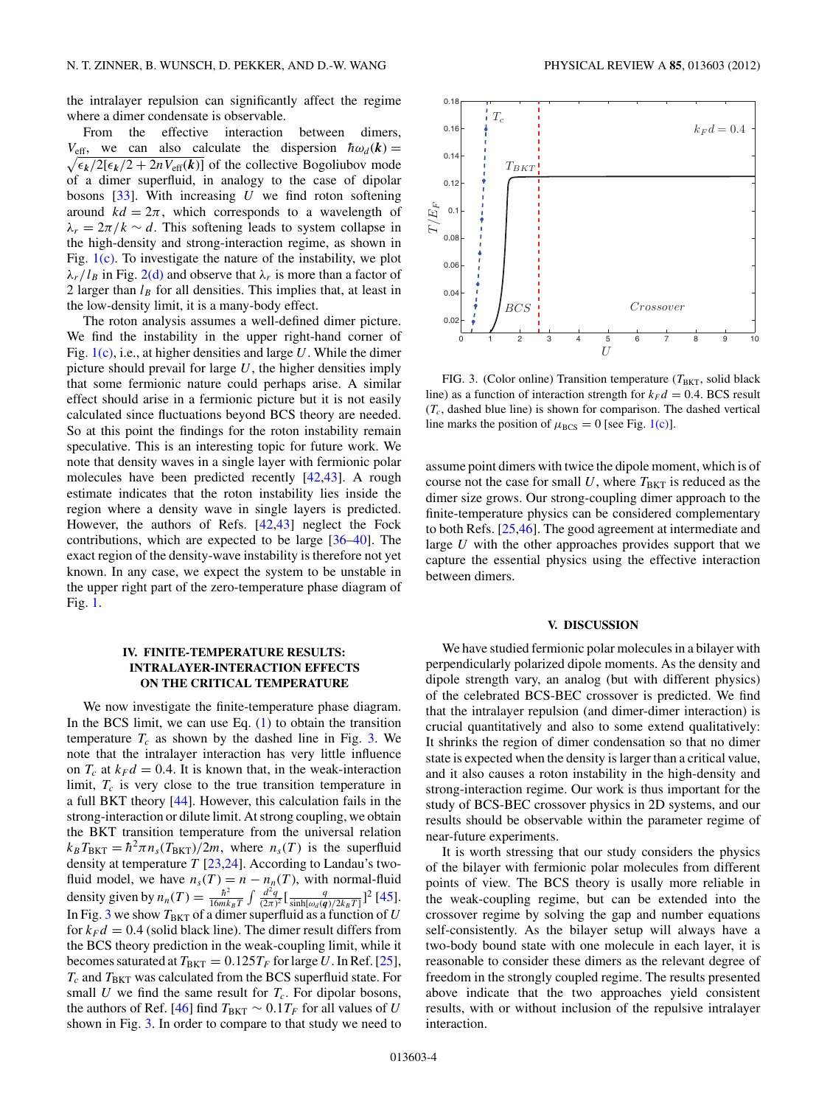<span id="page-3-0"></span>the intralayer repulsion can significantly affect the regime where a dimer condensate is observable.

From the effective interaction between dimers,  $V_{\text{eff}}$ , we can also calculate the dispersion  $\hbar \omega_d(\mathbf{k}) =$  $\sqrt{\epsilon_k/2[\epsilon_k/2 + 2nV_{\text{eff}}(k)]}$  of the collective Bogoliubov mode of a dimer superfluid, in analogy to the case of dipolar bosons [\[33\]](#page-4-0). With increasing *U* we find roton softening around  $kd = 2\pi$ , which corresponds to a wavelength of  $\lambda_r = 2\pi/k \sim d$ . This softening leads to system collapse in the high-density and strong-interaction regime, as shown in Fig. [1\(c\).](#page-1-0) To investigate the nature of the instability, we plot  $\lambda_r/l_B$  in Fig. [2\(d\)](#page-1-0) and observe that  $\lambda_r$  is more than a factor of 2 larger than  $l_B$  for all densities. This implies that, at least in the low-density limit, it is a many-body effect.

The roton analysis assumes a well-defined dimer picture. We find the instability in the upper right-hand corner of Fig. [1\(c\),](#page-1-0) i.e., at higher densities and large *U*. While the dimer picture should prevail for large *U*, the higher densities imply that some fermionic nature could perhaps arise. A similar effect should arise in a fermionic picture but it is not easily calculated since fluctuations beyond BCS theory are needed. So at this point the findings for the roton instability remain speculative. This is an interesting topic for future work. We note that density waves in a single layer with fermionic polar molecules have been predicted recently [\[42,43\]](#page-5-0). A rough estimate indicates that the roton instability lies inside the region where a density wave in single layers is predicted. However, the authors of Refs. [\[42,43\]](#page-5-0) neglect the Fock contributions, which are expected to be large [\[36–](#page-4-0)[40\]](#page-5-0). The exact region of the density-wave instability is therefore not yet known. In any case, we expect the system to be unstable in the upper right part of the zero-temperature phase diagram of Fig. [1.](#page-1-0)

# **IV. FINITE-TEMPERATURE RESULTS: INTRALAYER-INTERACTION EFFECTS ON THE CRITICAL TEMPERATURE**

We now investigate the finite-temperature phase diagram. In the BCS limit, we can use Eq.  $(1)$  to obtain the transition temperature  $T_c$  as shown by the dashed line in Fig. 3. We note that the intralayer interaction has very little influence on  $T_c$  at  $k_F d = 0.4$ . It is known that, in the weak-interaction limit,  $T_c$  is very close to the true transition temperature in a full BKT theory [\[44\]](#page-5-0). However, this calculation fails in the strong-interaction or dilute limit. At strong coupling, we obtain the BKT transition temperature from the universal relation  $k_B T_{\text{BKT}} = \hbar^2 \pi n_s (T_{\text{BKT}})/2m$ , where  $n_s(T)$  is the superfluid density at temperature *T* [\[23,24\]](#page-4-0). According to Landau's twofluid model, we have  $n_s(T) = n - n_n(T)$ , with normal-fluid density given by  $n_n(T) = \frac{\hbar^2}{16mk_BT} \int \frac{d^2q}{(2\pi)^2} \left[ \frac{q}{\sinh[\omega_d(q)/2k_BT]} \right]^2 [45]$  $n_n(T) = \frac{\hbar^2}{16mk_BT} \int \frac{d^2q}{(2\pi)^2} \left[ \frac{q}{\sinh[\omega_d(q)/2k_BT]} \right]^2 [45]$ . In Fig. 3 we show  $T_{\rm BKT}$  of a dimer superfluid as a function of  $U$ for  $k_F d = 0.4$  (solid black line). The dimer result differs from the BCS theory prediction in the weak-coupling limit, while it becomes saturated at  $T_{BKT} = 0.125T_F$  for large U. In Ref. [\[25\]](#page-4-0),  $T_c$  and  $T_{BKT}$  was calculated from the BCS superfluid state. For small  $U$  we find the same result for  $T_c$ . For dipolar bosons, the authors of Ref. [\[46\]](#page-5-0) find  $T_{BKT} \sim 0.1 T_F$  for all values of *U* shown in Fig. 3. In order to compare to that study we need to



FIG. 3. (Color online) Transition temperature  $(T_{BKT}$ , solid black line) as a function of interaction strength for  $k_F d = 0.4$ . BCS result  $(T_c)$ , dashed blue line) is shown for comparison. The dashed vertical line marks the position of  $\mu_{BCS} = 0$  [see Fig. [1\(c\)\]](#page-1-0).

assume point dimers with twice the dipole moment, which is of course not the case for small U, where  $T_{BKT}$  is reduced as the dimer size grows. Our strong-coupling dimer approach to the finite-temperature physics can be considered complementary to both Refs. [\[25](#page-4-0)[,46\]](#page-5-0). The good agreement at intermediate and large *U* with the other approaches provides support that we capture the essential physics using the effective interaction between dimers.

#### **V. DISCUSSION**

We have studied fermionic polar molecules in a bilayer with perpendicularly polarized dipole moments. As the density and dipole strength vary, an analog (but with different physics) of the celebrated BCS-BEC crossover is predicted. We find that the intralayer repulsion (and dimer-dimer interaction) is crucial quantitatively and also to some extend qualitatively: It shrinks the region of dimer condensation so that no dimer state is expected when the density is larger than a critical value, and it also causes a roton instability in the high-density and strong-interaction regime. Our work is thus important for the study of BCS-BEC crossover physics in 2D systems, and our results should be observable within the parameter regime of near-future experiments.

It is worth stressing that our study considers the physics of the bilayer with fermionic polar molecules from different points of view. The BCS theory is usally more reliable in the weak-coupling regime, but can be extended into the crossover regime by solving the gap and number equations self-consistently. As the bilayer setup will always have a two-body bound state with one molecule in each layer, it is reasonable to consider these dimers as the relevant degree of freedom in the strongly coupled regime. The results presented above indicate that the two approaches yield consistent results, with or without inclusion of the repulsive intralayer interaction.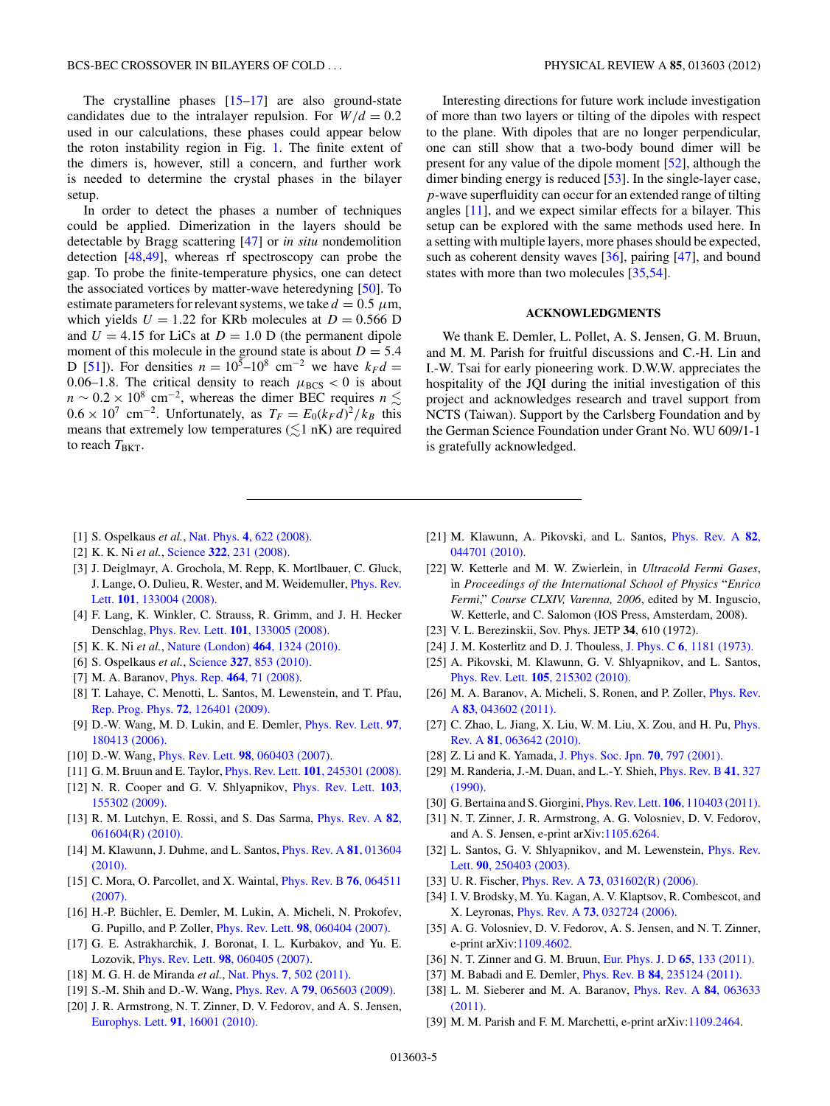<span id="page-4-0"></span>The crystalline phases  $[15-17]$  are also ground-state candidates due to the intralayer repulsion. For  $W/d = 0.2$ used in our calculations, these phases could appear below the roton instability region in Fig. [1.](#page-1-0) The finite extent of the dimers is, however, still a concern, and further work is needed to determine the crystal phases in the bilayer setup.

In order to detect the phases a number of techniques could be applied. Dimerization in the layers should be detectable by Bragg scattering [\[47\]](#page-5-0) or *in situ* nondemolition detection [\[48,49\]](#page-5-0), whereas rf spectroscopy can probe the gap. To probe the finite-temperature physics, one can detect the associated vortices by matter-wave heteredyning [\[50\]](#page-5-0). To estimate parameters for relevant systems, we take  $d = 0.5 \mu m$ , which yields  $U = 1.22$  for KRb molecules at  $D = 0.566$  D and  $U = 4.15$  for LiCs at  $D = 1.0$  D (the permanent dipole moment of this molecule in the ground state is about  $D = 5.4$ D [\[51\]](#page-5-0)). For densities  $n = 10^5 - 10^8$  cm<sup>-2</sup> we have  $k_F d =$ 0.06–1.8. The critical density to reach  $\mu_{BCS} < 0$  is about  $n \sim 0.2 \times 10^8$  cm<sup>-2</sup>, whereas the dimer BEC requires  $n \lesssim$  $0.6 \times 10^7$  cm<sup>-2</sup>. Unfortunately, as  $T_F = E_0 (k_F d)^2 / k_B$  this means that extremely low temperatures  $(\lesssim 1 \text{ nK})$  are required to reach  $T_{BKT}$ .

Interesting directions for future work include investigation of more than two layers or tilting of the dipoles with respect to the plane. With dipoles that are no longer perpendicular, one can still show that a two-body bound dimer will be present for any value of the dipole moment [\[52\]](#page-5-0), although the dimer binding energy is reduced [\[53\]](#page-5-0). In the single-layer case, *p*-wave superfluidity can occur for an extended range of tilting angles [11], and we expect similar effects for a bilayer. This setup can be explored with the same methods used here. In a setting with multiple layers, more phases should be expected, such as coherent density waves [36], pairing [\[47\]](#page-5-0), and bound states with more than two molecules [35[,54\]](#page-5-0).

#### **ACKNOWLEDGMENTS**

We thank E. Demler, L. Pollet, A. S. Jensen, G. M. Bruun, and M. M. Parish for fruitful discussions and C.-H. Lin and I.-W. Tsai for early pioneering work. D.W.W. appreciates the hospitality of the JQI during the initial investigation of this project and acknowledges research and travel support from NCTS (Taiwan). Support by the Carlsberg Foundation and by the German Science Foundation under Grant No. WU 609/1-1 is gratefully acknowledged.

- [1] S. Ospelkaus *et al.*, Nat. Phys. **4**[, 622 \(2008\).](http://dx.doi.org/10.1038/nphys997)
- [2] K. K. Ni *et al.*, Science **322**[, 231 \(2008\).](http://dx.doi.org/10.1126/science.1163861)
- [3] J. Deiglmayr, A. Grochola, M. Repp, K. Mortlbauer, C. Gluck, J. Lange, O. Dulieu, R. Wester, and M. Weidemuller, [Phys. Rev.](http://dx.doi.org/10.1103/PhysRevLett.101.133004) Lett. **101**[, 133004 \(2008\).](http://dx.doi.org/10.1103/PhysRevLett.101.133004)
- [4] F. Lang, K. Winkler, C. Strauss, R. Grimm, and J. H. Hecker Denschlag, Phys. Rev. Lett. **101**[, 133005 \(2008\).](http://dx.doi.org/10.1103/PhysRevLett.101.133005)
- [5] K. K. Ni *et al.*, [Nature \(London\)](http://dx.doi.org/10.1038/nature08953) **464**, 1324 (2010).
- [6] S. Ospelkaus *et al.*, Science **327**[, 853 \(2010\).](http://dx.doi.org/10.1126/science.1184121)
- [7] M. A. Baranov, Phys. Rep. **464**[, 71 \(2008\).](http://dx.doi.org/10.1016/j.physrep.2008.04.007)
- [8] T. Lahaye, C. Menotti, L. Santos, M. Lewenstein, and T. Pfau, [Rep. Prog. Phys.](http://dx.doi.org/10.1088/0034-4885/72/12/126401) **72**, 126401 (2009).
- [9] D.-W. Wang, M. D. Lukin, and E. Demler, [Phys. Rev. Lett.](http://dx.doi.org/10.1103/PhysRevLett.97.180413) **97**, [180413 \(2006\).](http://dx.doi.org/10.1103/PhysRevLett.97.180413)
- [10] D.-W. Wang, Phys. Rev. Lett. **98**[, 060403 \(2007\).](http://dx.doi.org/10.1103/PhysRevLett.98.060403)
- [11] G. M. Bruun and E. Taylor, Phys. Rev. Lett. **101**[, 245301 \(2008\).](http://dx.doi.org/10.1103/PhysRevLett.101.245301)
- [12] N. R. Cooper and G. V. Shlyapnikov, [Phys. Rev. Lett.](http://dx.doi.org/10.1103/PhysRevLett.103.155302) **103**, [155302 \(2009\).](http://dx.doi.org/10.1103/PhysRevLett.103.155302)
- [13] R. M. Lutchyn, E. Rossi, and S. Das Sarma, [Phys. Rev. A](http://dx.doi.org/10.1103/PhysRevA.82.061604) **82**, [061604\(R\) \(2010\).](http://dx.doi.org/10.1103/PhysRevA.82.061604)
- [14] M. Klawunn, J. Duhme, and L. Santos, [Phys. Rev. A](http://dx.doi.org/10.1103/PhysRevA.81.013604) **81**, 013604 [\(2010\).](http://dx.doi.org/10.1103/PhysRevA.81.013604)
- [15] C. Mora, O. Parcollet, and X. Waintal, [Phys. Rev. B](http://dx.doi.org/10.1103/PhysRevB.76.064511) **76**, 064511 [\(2007\).](http://dx.doi.org/10.1103/PhysRevB.76.064511)
- [16] H.-P. Büchler, E. Demler, M. Lukin, A. Micheli, N. Prokofev, G. Pupillo, and P. Zoller, Phys. Rev. Lett. **98**[, 060404 \(2007\).](http://dx.doi.org/10.1103/PhysRevLett.98.060404)
- [17] G. E. Astrakharchik, J. Boronat, I. L. Kurbakov, and Yu. E. Lozovik, Phys. Rev. Lett. **98**[, 060405 \(2007\).](http://dx.doi.org/10.1103/PhysRevLett.98.060405)
- [18] M. G. H. de Miranda *et al.*, Nat. Phys. **7**[, 502 \(2011\).](http://dx.doi.org/10.1038/nphys1939)
- [19] S.-M. Shih and D.-W. Wang, Phys. Rev. A **79**[, 065603 \(2009\).](http://dx.doi.org/10.1103/PhysRevA.79.065603)
- [20] J. R. Armstrong, N. T. Zinner, D. V. Fedorov, and A. S. Jensen, [Europhys. Lett.](http://dx.doi.org/10.1209/0295-5075/91/16001) **91**, 16001 (2010).
- [21] M. Klawunn, A. Pikovski, and L. Santos, [Phys. Rev. A](http://dx.doi.org/10.1103/PhysRevA.82.044701) **82**, [044701 \(2010\).](http://dx.doi.org/10.1103/PhysRevA.82.044701)
- [22] W. Ketterle and M. W. Zwierlein, in *Ultracold Fermi Gases*, in *Proceedings of the International School of Physics* "*Enrico Fermi*," *Course CLXIV, Varenna, 2006*, edited by M. Inguscio, W. Ketterle, and C. Salomon (IOS Press, Amsterdam, 2008).
- [23] V. L. Berezinskii, Sov. Phys. JETP **34**, 610 (1972).
- [24] J. M. Kosterlitz and D. J. Thouless, J. Phys. C **6**[, 1181 \(1973\).](http://dx.doi.org/10.1088/0022-3719/6/7/010)
- [25] A. Pikovski, M. Klawunn, G. V. Shlyapnikov, and L. Santos, Phys. Rev. Lett. **105**[, 215302 \(2010\).](http://dx.doi.org/10.1103/PhysRevLett.105.215302)
- [26] M. A. Baranov, A. Micheli, S. Ronen, and P. Zoller, [Phys. Rev.](http://dx.doi.org/10.1103/PhysRevA.83.043602) A **83**[, 043602 \(2011\).](http://dx.doi.org/10.1103/PhysRevA.83.043602)
- [27] C. Zhao, L. Jiang, X. Liu, W. M. Liu, X. Zou, and H. Pu, *[Phys.](http://dx.doi.org/10.1103/PhysRevA.81.063642)* Rev. A **81**[, 063642 \(2010\).](http://dx.doi.org/10.1103/PhysRevA.81.063642)
- [28] Z. Li and K. Yamada, [J. Phys. Soc. Jpn.](http://dx.doi.org/10.1143/JPSJ.70.797) **70**, 797 (2001).
- [29] M. Randeria, J.-M. Duan, and L.-Y. Shieh, [Phys. Rev. B](http://dx.doi.org/10.1103/PhysRevB.41.327) **41**, 327 [\(1990\).](http://dx.doi.org/10.1103/PhysRevB.41.327)
- [30] G. Bertaina and S. Giorgini, Phys. Rev. Lett. **106**[, 110403 \(2011\).](http://dx.doi.org/10.1103/PhysRevLett.106.110403)
- [31] N. T. Zinner, J. R. Armstrong, A. G. Volosniev, D. V. Fedorov, and A. S. Jensen, e-print arXiv[:1105.6264.](http://arXiv.org/abs/1105.6264)
- [32] L. Santos, G. V. Shlyapnikov, and M. Lewenstein, *[Phys. Rev.](http://dx.doi.org/10.1103/PhysRevLett.90.250403)* Lett. **90**[, 250403 \(2003\).](http://dx.doi.org/10.1103/PhysRevLett.90.250403)
- [33] U. R. Fischer, Phys. Rev. A **73**[, 031602\(R\) \(2006\).](http://dx.doi.org/10.1103/PhysRevA.73.031602)
- [34] I. V. Brodsky, M. Yu. Kagan, A. V. Klaptsov, R. Combescot, and X. Leyronas, Phys. Rev. A **73**[, 032724 \(2006\).](http://dx.doi.org/10.1103/PhysRevA.73.032724)
- [35] A. G. Volosniev, D. V. Fedorov, A. S. Jensen, and N. T. Zinner, e-print arXiv[:1109.4602.](http://arXiv.org/abs/1109.4602)
- [36] N. T. Zinner and G. M. Bruun, [Eur. Phys. J. D](http://dx.doi.org/10.1140/epjd/e2011-20094-3) **65**, 133 (2011).
- [37] M. Babadi and E. Demler, Phys. Rev. B **84**[, 235124 \(2011\).](http://dx.doi.org/10.1103/PhysRevB.84.235124)
- [38] L. M. Sieberer and M. A. Baranov, [Phys. Rev. A](http://dx.doi.org/10.1103/PhysRevA.84.063633) **84**, 063633 [\(2011\).](http://dx.doi.org/10.1103/PhysRevA.84.063633)
- [39] M. M. Parish and F. M. Marchetti, e-print arXiv[:1109.2464.](http://arXiv.org/abs/1109.2464)